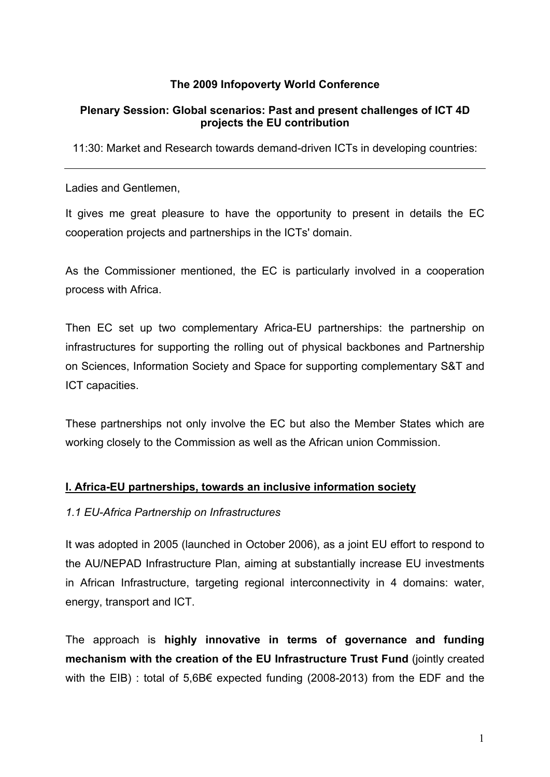# **The 2009 Infopoverty World Conference**

### **Plenary Session: Global scenarios: Past and present challenges of ICT 4D projects the EU contribution**

11:30: Market and Research towards demand-driven ICTs in developing countries:

Ladies and Gentlemen,

It gives me great pleasure to have the opportunity to present in details the EC cooperation projects and partnerships in the ICTs' domain.

As the Commissioner mentioned, the EC is particularly involved in a cooperation process with Africa.

Then EC set up two complementary Africa-EU partnerships: the partnership on infrastructures for supporting the rolling out of physical backbones and Partnership on Sciences, Information Society and Space for supporting complementary S&T and ICT capacities.

These partnerships not only involve the EC but also the Member States which are working closely to the Commission as well as the African union Commission.

### **I. Africa-EU partnerships, towards an inclusive information society**

#### *1.1 EU-Africa Partnership on Infrastructures*

It was adopted in 2005 (launched in October 2006), as a joint EU effort to respond to the AU/NEPAD Infrastructure Plan, aiming at substantially increase EU investments in African Infrastructure, targeting regional interconnectivity in 4 domains: water, energy, transport and ICT.

The approach is **highly innovative in terms of governance and funding mechanism with the creation of the EU Infrastructure Trust Fund** (jointly created with the EIB) : total of 5,6B $\epsilon$  expected funding (2008-2013) from the EDF and the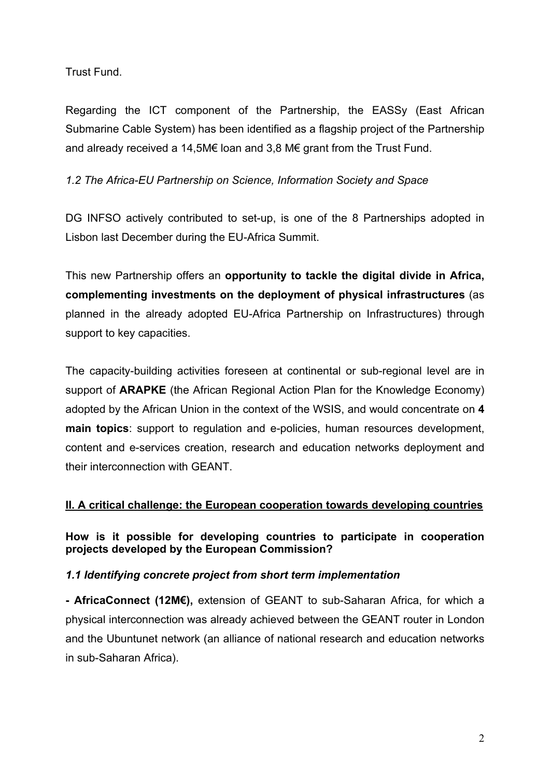Trust Fund.

Regarding the ICT component of the Partnership, the EASSy (East African Submarine Cable System) has been identified as a flagship project of the Partnership and already received a 14,5M€ loan and 3,8 M€ grant from the Trust Fund.

*1.2 The Africa-EU Partnership on Science, Information Society and Space*

DG INFSO actively contributed to set-up, is one of the 8 Partnerships adopted in Lisbon last December during the EU-Africa Summit.

This new Partnership offers an **opportunity to tackle the digital divide in Africa, complementing investments on the deployment of physical infrastructures** (as planned in the already adopted EU-Africa Partnership on Infrastructures) through support to key capacities.

The capacity-building activities foreseen at continental or sub-regional level are in support of **ARAPKE** (the African Regional Action Plan for the Knowledge Economy) adopted by the African Union in the context of the WSIS, and would concentrate on **4 main topics**: support to regulation and e-policies, human resources development, content and e-services creation, research and education networks deployment and their interconnection with GEANT.

### **II. A critical challenge: the European cooperation towards developing countries**

**How is it possible for developing countries to participate in cooperation projects developed by the European Commission?**

### *1.1 Identifying concrete project from short term implementation*

**- AfricaConnect (12M€),** extension of GEANT to sub-Saharan Africa, for which a physical interconnection was already achieved between the GEANT router in London and the Ubuntunet network (an alliance of national research and education networks in sub-Saharan Africa).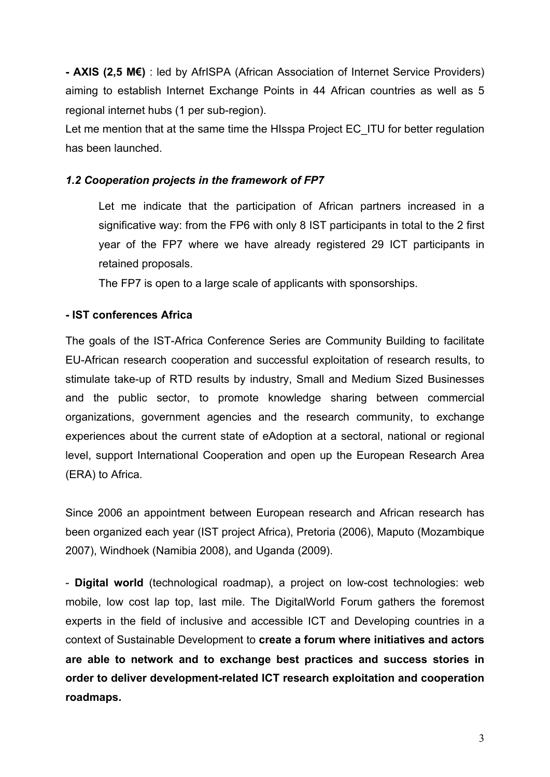**- AXIS (2,5 M€)** : led by AfrISPA (African Association of Internet Service Providers) aiming to establish Internet Exchange Points in 44 African countries as well as 5 regional internet hubs (1 per sub-region).

Let me mention that at the same time the HIsspa Project EC ITU for better regulation has been launched.

# *1.2 Cooperation projects in the framework of FP7*

 Let me indicate that the participation of African partners increased in a significative way: from the FP6 with only 8 IST participants in total to the 2 first year of the FP7 where we have already registered 29 ICT participants in retained proposals.

The FP7 is open to a large scale of applicants with sponsorships.

### **- IST conferences Africa**

The goals of the IST-Africa Conference Series are Community Building to facilitate EU-African research cooperation and successful exploitation of research results, to stimulate take-up of RTD results by industry, Small and Medium Sized Businesses and the public sector, to promote knowledge sharing between commercial organizations, government agencies and the research community, to exchange experiences about the current state of eAdoption at a sectoral, national or regional level, support International Cooperation and open up the European Research Area (ERA) to Africa.

Since 2006 an appointment between European research and African research has been organized each year (IST project Africa), Pretoria (2006), Maputo (Mozambique 2007), Windhoek (Namibia 2008), and Uganda (2009).

- **Digital world** (technological roadmap), a project on low-cost technologies: web mobile, low cost lap top, last mile. The DigitalWorld Forum gathers the foremost experts in the field of inclusive and accessible ICT and Developing countries in a context of Sustainable Development to **create a forum where initiatives and actors are able to network and to exchange best practices and success stories in order to deliver development-related ICT research exploitation and cooperation roadmaps.**